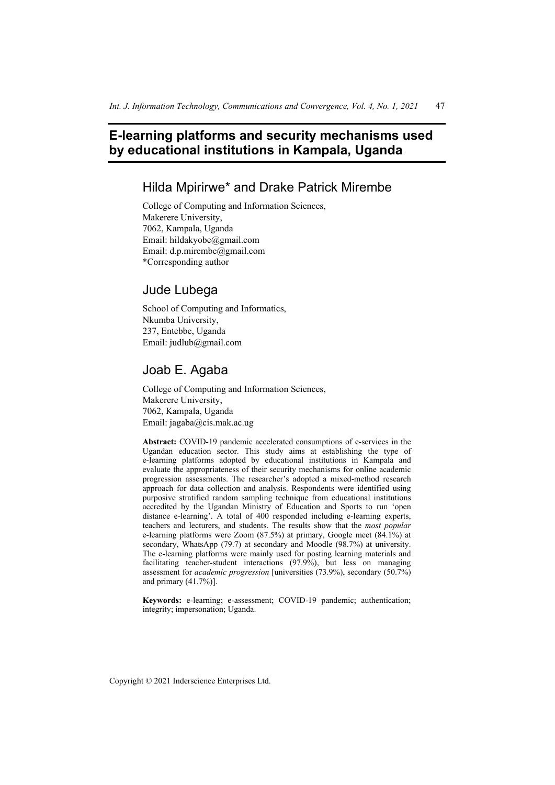## **E-learning platforms and security mechanisms used by educational institutions in Kampala, Uganda**

## Hilda Mpirirwe\* and Drake Patrick Mirembe

College of Computing and Information Sciences, Makerere University, 7062, Kampala, Uganda Email: hildakyobe@gmail.com Email: d.p.mirembe@gmail.com \*Corresponding author

## Jude Lubega

School of Computing and Informatics, Nkumba University, 237, Entebbe, Uganda Email: judlub@gmail.com

# Joab E. Agaba

College of Computing and Information Sciences, Makerere University, 7062, Kampala, Uganda Email: jagaba@cis.mak.ac.ug

**Abstract:** COVID-19 pandemic accelerated consumptions of e-services in the Ugandan education sector. This study aims at establishing the type of e-learning platforms adopted by educational institutions in Kampala and evaluate the appropriateness of their security mechanisms for online academic progression assessments. The researcher's adopted a mixed-method research approach for data collection and analysis. Respondents were identified using purposive stratified random sampling technique from educational institutions accredited by the Ugandan Ministry of Education and Sports to run 'open distance e-learning'. A total of 400 responded including e-learning experts, teachers and lecturers, and students. The results show that the *most popular* e-learning platforms were Zoom (87.5%) at primary, Google meet (84.1%) at secondary, WhatsApp (79.7) at secondary and Moodle (98.7%) at university. The e-learning platforms were mainly used for posting learning materials and facilitating teacher-student interactions (97.9%), but less on managing assessment for *academic progression* [universities (73.9%), secondary (50.7%) and primary (41.7%)].

**Keywords:** e-learning; e-assessment; COVID-19 pandemic; authentication; integrity; impersonation; Uganda.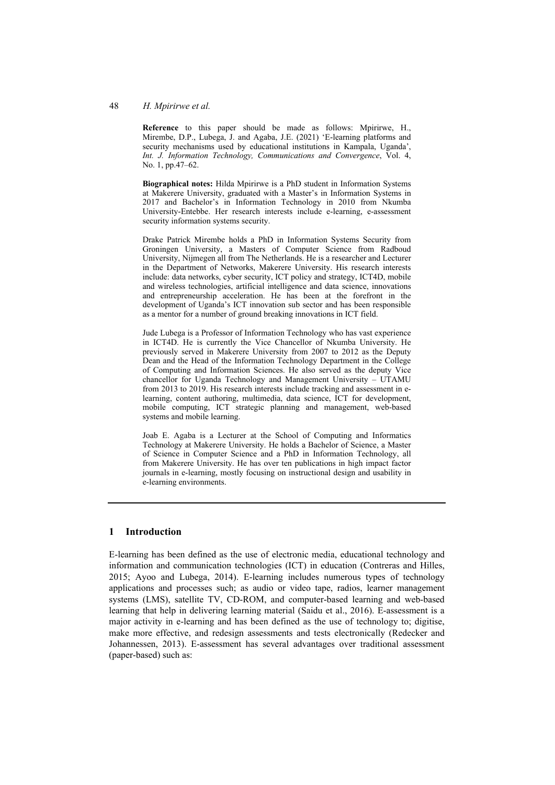#### 48 *H. Mpirirwe et al.*

**Reference** to this paper should be made as follows: Mpirirwe, H., Mirembe, D.P., Lubega, J. and Agaba, J.E. (2021) 'E-learning platforms and security mechanisms used by educational institutions in Kampala, Uganda', *Int. J. Information Technology, Communications and Convergence*, Vol. 4, No. 1, pp.47–62.

**Biographical notes:** Hilda Mpirirwe is a PhD student in Information Systems at Makerere University, graduated with a Master's in Information Systems in 2017 and Bachelor's in Information Technology in 2010 from Nkumba University-Entebbe. Her research interests include e-learning, e-assessment security information systems security.

Drake Patrick Mirembe holds a PhD in Information Systems Security from Groningen University, a Masters of Computer Science from Radboud University, Nijmegen all from The Netherlands. He is a researcher and Lecturer in the Department of Networks, Makerere University. His research interests include: data networks, cyber security, ICT policy and strategy, ICT4D, mobile and wireless technologies, artificial intelligence and data science, innovations and entrepreneurship acceleration. He has been at the forefront in the development of Uganda's ICT innovation sub sector and has been responsible as a mentor for a number of ground breaking innovations in ICT field.

Jude Lubega is a Professor of Information Technology who has vast experience in ICT4D. He is currently the Vice Chancellor of Nkumba University. He previously served in Makerere University from 2007 to 2012 as the Deputy Dean and the Head of the Information Technology Department in the College of Computing and Information Sciences. He also served as the deputy Vice chancellor for Uganda Technology and Management University – UTAMU from 2013 to 2019. His research interests include tracking and assessment in elearning, content authoring, multimedia, data science, ICT for development, mobile computing, ICT strategic planning and management, web-based systems and mobile learning.

Joab E. Agaba is a Lecturer at the School of Computing and Informatics Technology at Makerere University. He holds a Bachelor of Science, a Master of Science in Computer Science and a PhD in Information Technology, all from Makerere University. He has over ten publications in high impact factor journals in e-learning, mostly focusing on instructional design and usability in e-learning environments.

### **1 Introduction**

E-learning has been defined as the use of electronic media, educational technology and information and communication technologies (ICT) in education (Contreras and Hilles, 2015; Ayoo and Lubega, 2014). E-learning includes numerous types of technology applications and processes such; as audio or video tape, radios, learner management systems (LMS), satellite TV, CD-ROM, and computer-based learning and web-based learning that help in delivering learning material (Saidu et al., 2016). E-assessment is a major activity in e-learning and has been defined as the use of technology to; digitise, make more effective, and redesign assessments and tests electronically (Redecker and Johannessen, 2013). E-assessment has several advantages over traditional assessment (paper-based) such as: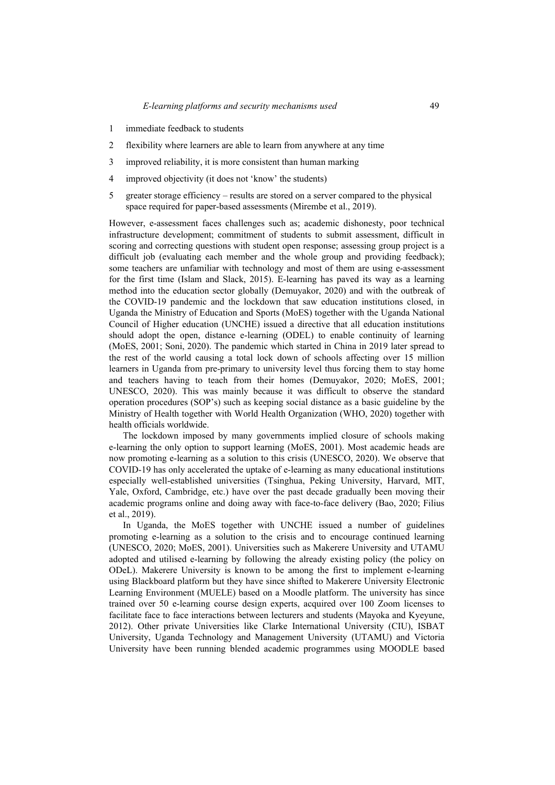- 1 immediate feedback to students
- 2 flexibility where learners are able to learn from anywhere at any time
- 3 improved reliability, it is more consistent than human marking
- 4 improved objectivity (it does not 'know' the students)
- 5 greater storage efficiency results are stored on a server compared to the physical space required for paper-based assessments (Mirembe et al., 2019).

However, e-assessment faces challenges such as; academic dishonesty, poor technical infrastructure development; commitment of students to submit assessment, difficult in scoring and correcting questions with student open response; assessing group project is a difficult job (evaluating each member and the whole group and providing feedback); some teachers are unfamiliar with technology and most of them are using e-assessment for the first time (Islam and Slack, 2015). E-learning has paved its way as a learning method into the education sector globally (Demuyakor, 2020) and with the outbreak of the COVID-19 pandemic and the lockdown that saw education institutions closed, in Uganda the Ministry of Education and Sports (MoES) together with the Uganda National Council of Higher education (UNCHE) issued a directive that all education institutions should adopt the open, distance e-learning (ODEL) to enable continuity of learning (MoES, 2001; Soni, 2020). The pandemic which started in China in 2019 later spread to the rest of the world causing a total lock down of schools affecting over 15 million learners in Uganda from pre-primary to university level thus forcing them to stay home and teachers having to teach from their homes (Demuyakor, 2020; MoES, 2001; UNESCO, 2020). This was mainly because it was difficult to observe the standard operation procedures (SOP's) such as keeping social distance as a basic guideline by the Ministry of Health together with World Health Organization (WHO, 2020) together with health officials worldwide.

The lockdown imposed by many governments implied closure of schools making e-learning the only option to support learning (MoES, 2001). Most academic heads are now promoting e-learning as a solution to this crisis (UNESCO, 2020). We observe that COVID-19 has only accelerated the uptake of e-learning as many educational institutions especially well-established universities (Tsinghua, Peking University, Harvard, MIT, Yale, Oxford, Cambridge, etc.) have over the past decade gradually been moving their academic programs online and doing away with face-to-face delivery (Bao, 2020; Filius et al., 2019).

In Uganda, the MoES together with UNCHE issued a number of guidelines promoting e-learning as a solution to the crisis and to encourage continued learning (UNESCO, 2020; MoES, 2001). Universities such as Makerere University and UTAMU adopted and utilised e-learning by following the already existing policy (the policy on ODeL). Makerere University is known to be among the first to implement e-learning using Blackboard platform but they have since shifted to Makerere University Electronic Learning Environment (MUELE) based on a Moodle platform. The university has since trained over 50 e-learning course design experts, acquired over 100 Zoom licenses to facilitate face to face interactions between lecturers and students (Mayoka and Kyeyune, 2012). Other private Universities like Clarke International University (CIU), ISBAT University, Uganda Technology and Management University (UTAMU) and Victoria University have been running blended academic programmes using MOODLE based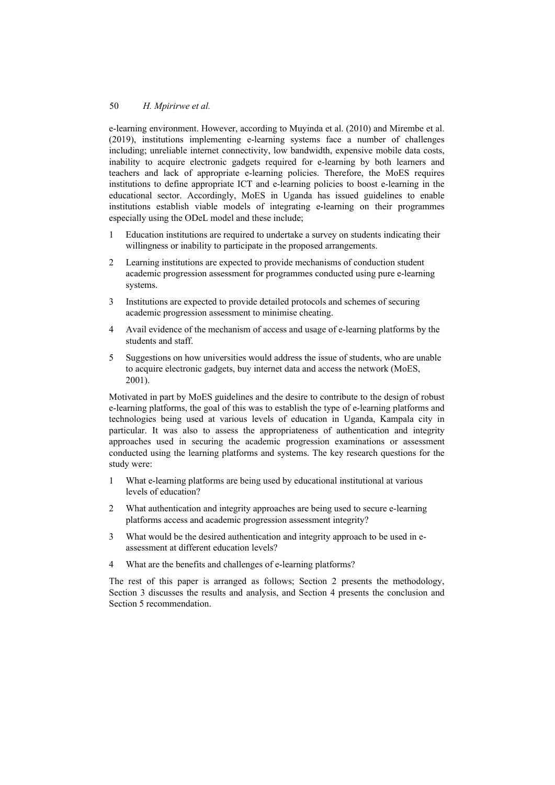e-learning environment. However, according to Muyinda et al. (2010) and Mirembe et al. (2019), institutions implementing e-learning systems face a number of challenges including; unreliable internet connectivity, low bandwidth, expensive mobile data costs, inability to acquire electronic gadgets required for e-learning by both learners and teachers and lack of appropriate e-learning policies. Therefore, the MoES requires institutions to define appropriate ICT and e-learning policies to boost e-learning in the educational sector. Accordingly, MoES in Uganda has issued guidelines to enable institutions establish viable models of integrating e-learning on their programmes especially using the ODeL model and these include;

- 1 Education institutions are required to undertake a survey on students indicating their willingness or inability to participate in the proposed arrangements.
- 2 Learning institutions are expected to provide mechanisms of conduction student academic progression assessment for programmes conducted using pure e-learning systems.
- 3 Institutions are expected to provide detailed protocols and schemes of securing academic progression assessment to minimise cheating.
- 4 Avail evidence of the mechanism of access and usage of e-learning platforms by the students and staff.
- 5 Suggestions on how universities would address the issue of students, who are unable to acquire electronic gadgets, buy internet data and access the network (MoES, 2001).

Motivated in part by MoES guidelines and the desire to contribute to the design of robust e-learning platforms, the goal of this was to establish the type of e-learning platforms and technologies being used at various levels of education in Uganda, Kampala city in particular. It was also to assess the appropriateness of authentication and integrity approaches used in securing the academic progression examinations or assessment conducted using the learning platforms and systems. The key research questions for the study were:

- 1 What e-learning platforms are being used by educational institutional at various levels of education?
- 2 What authentication and integrity approaches are being used to secure e-learning platforms access and academic progression assessment integrity?
- 3 What would be the desired authentication and integrity approach to be used in eassessment at different education levels?
- 4 What are the benefits and challenges of e-learning platforms?

The rest of this paper is arranged as follows; Section 2 presents the methodology, Section 3 discusses the results and analysis, and Section 4 presents the conclusion and Section 5 recommendation.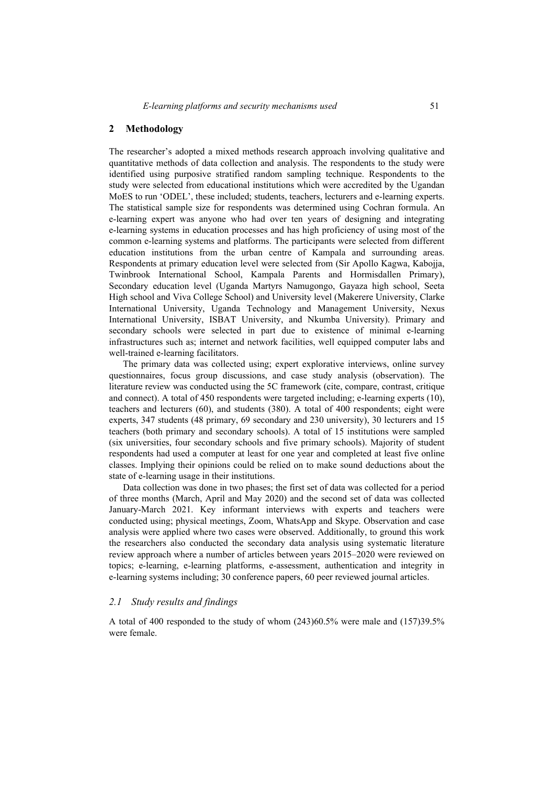#### **2 Methodology**

The researcher's adopted a mixed methods research approach involving qualitative and quantitative methods of data collection and analysis. The respondents to the study were identified using purposive stratified random sampling technique. Respondents to the study were selected from educational institutions which were accredited by the Ugandan MoES to run 'ODEL', these included; students, teachers, lecturers and e-learning experts. The statistical sample size for respondents was determined using Cochran formula. An e-learning expert was anyone who had over ten years of designing and integrating e-learning systems in education processes and has high proficiency of using most of the common e-learning systems and platforms. The participants were selected from different education institutions from the urban centre of Kampala and surrounding areas. Respondents at primary education level were selected from (Sir Apollo Kagwa, Kabojja, Twinbrook International School, Kampala Parents and Hormisdallen Primary), Secondary education level (Uganda Martyrs Namugongo, Gayaza high school, Seeta High school and Viva College School) and University level (Makerere University, Clarke International University, Uganda Technology and Management University, Nexus International University, ISBAT University, and Nkumba University). Primary and secondary schools were selected in part due to existence of minimal e-learning infrastructures such as; internet and network facilities, well equipped computer labs and well-trained e-learning facilitators.

The primary data was collected using; expert explorative interviews, online survey questionnaires, focus group discussions, and case study analysis (observation). The literature review was conducted using the 5C framework (cite, compare, contrast, critique and connect). A total of 450 respondents were targeted including; e-learning experts (10), teachers and lecturers (60), and students (380). A total of 400 respondents; eight were experts, 347 students (48 primary, 69 secondary and 230 university), 30 lecturers and 15 teachers (both primary and secondary schools). A total of 15 institutions were sampled (six universities, four secondary schools and five primary schools). Majority of student respondents had used a computer at least for one year and completed at least five online classes. Implying their opinions could be relied on to make sound deductions about the state of e-learning usage in their institutions.

Data collection was done in two phases; the first set of data was collected for a period of three months (March, April and May 2020) and the second set of data was collected January-March 2021. Key informant interviews with experts and teachers were conducted using; physical meetings, Zoom, WhatsApp and Skype. Observation and case analysis were applied where two cases were observed. Additionally, to ground this work the researchers also conducted the secondary data analysis using systematic literature review approach where a number of articles between years 2015–2020 were reviewed on topics; e-learning, e-learning platforms, e-assessment, authentication and integrity in e-learning systems including; 30 conference papers, 60 peer reviewed journal articles.

#### *2.1 Study results and findings*

A total of 400 responded to the study of whom (243)60.5% were male and (157)39.5% were female.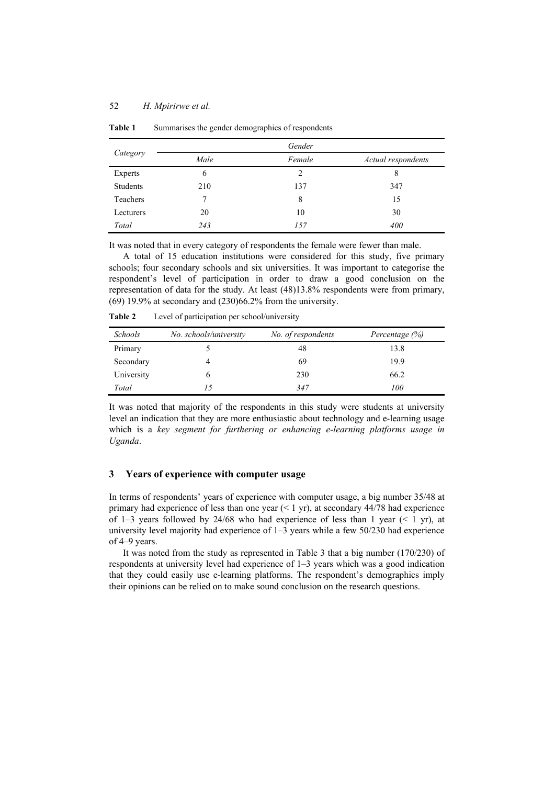| Category  |      | Gender        |                    |
|-----------|------|---------------|--------------------|
|           | Male | Female        | Actual respondents |
| Experts   | 6    | $\mathcal{L}$ | 8                  |
| Students  | 210  | 137           | 347                |
| Teachers  |      | 8             | 15                 |
| Lecturers | 20   | 10            | 30                 |
| Total     | 243  | 157           | 400                |

**Table 1** Summarises the gender demographics of respondents

It was noted that in every category of respondents the female were fewer than male.

A total of 15 education institutions were considered for this study, five primary schools; four secondary schools and six universities. It was important to categorise the respondent's level of participation in order to draw a good conclusion on the representation of data for the study. At least (48)13.8% respondents were from primary, (69) 19.9% at secondary and (230)66.2% from the university.

| <b>Schools</b> | No. schools/university | No. of respondents | Percentage $(\%)$ |
|----------------|------------------------|--------------------|-------------------|
| Primary        |                        | 48                 | 13.8              |
| Secondary      | 4                      | 69                 | 19.9              |
| University     |                        | 230                | 66.2              |
| Total          | 15                     | 347                | 100               |

**Table 2** Level of participation per school/university

It was noted that majority of the respondents in this study were students at university level an indication that they are more enthusiastic about technology and e-learning usage which is a *key segment for furthering or enhancing e-learning platforms usage in Uganda*.

### **3 Years of experience with computer usage**

In terms of respondents' years of experience with computer usage, a big number 35/48 at primary had experience of less than one year  $(< 1$  yr), at secondary 44/78 had experience of 1–3 years followed by 24/68 who had experience of less than 1 year  $($   $\leq$  1 yr), at university level majority had experience of 1–3 years while a few 50/230 had experience of 4–9 years.

It was noted from the study as represented in Table 3 that a big number (170/230) of respondents at university level had experience of 1–3 years which was a good indication that they could easily use e-learning platforms. The respondent's demographics imply their opinions can be relied on to make sound conclusion on the research questions.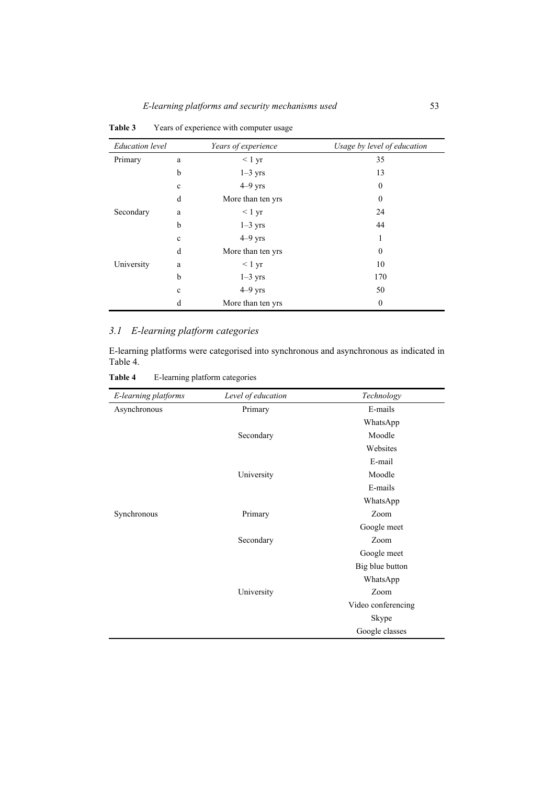| <b>Education</b> level |              | Years of experience | Usage by level of education |
|------------------------|--------------|---------------------|-----------------------------|
| Primary                | a            | $< 1 \text{ yr}$    | 35                          |
|                        | $\mathbf b$  | $1-3$ yrs           | 13                          |
|                        | $\mathbf c$  | $4-9$ yrs           | $\theta$                    |
|                        | d            | More than ten yrs   | $\theta$                    |
| Secondary              | a            | $< 1 \text{ yr}$    | 24                          |
|                        | $\mathbf b$  | $1-3$ yrs           | 44                          |
|                        | $\mathbf c$  | $4-9$ yrs           | 1                           |
|                        | d            | More than ten yrs   | $\mathbf{0}$                |
| University             | a            | $< 1 \text{ yr}$    | 10                          |
|                        | b            | $1-3$ yrs           | 170                         |
|                        | $\mathbf{c}$ | $4-9$ yrs           | 50                          |
|                        | d            | More than ten yrs   | $\mathbf{0}$                |

**Table 3** Years of experience with computer usage

## *3.1 E-learning platform categories*

E-learning platforms were categorised into synchronous and asynchronous as indicated in Table 4.

**Table 4** E-learning platform categories

| E-learning platforms | Level of education | Technology         |
|----------------------|--------------------|--------------------|
| Asynchronous         | Primary            | E-mails            |
|                      |                    | WhatsApp           |
|                      | Secondary          | Moodle             |
|                      |                    | Websites           |
|                      |                    | E-mail             |
|                      | University         | Moodle             |
|                      |                    | E-mails            |
|                      |                    | WhatsApp           |
| Synchronous          | Primary            | Zoom               |
|                      |                    | Google meet        |
|                      | Secondary          | Zoom               |
|                      |                    | Google meet        |
|                      |                    | Big blue button    |
|                      |                    | WhatsApp           |
|                      | University         | Zoom               |
|                      |                    | Video conferencing |
|                      |                    | Skype              |
|                      |                    | Google classes     |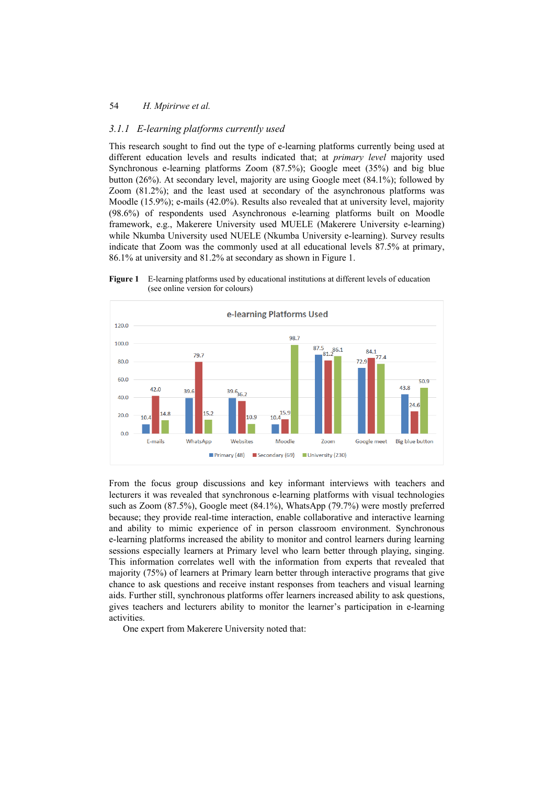## *3.1.1 E-learning platforms currently used*

This research sought to find out the type of e-learning platforms currently being used at different education levels and results indicated that; at *primary level* majority used Synchronous e-learning platforms Zoom (87.5%); Google meet (35%) and big blue button (26%). At secondary level, majority are using Google meet (84.1%); followed by Zoom (81.2%); and the least used at secondary of the asynchronous platforms was Moodle (15.9%); e-mails (42.0%). Results also revealed that at university level, majority (98.6%) of respondents used Asynchronous e-learning platforms built on Moodle framework, e.g., Makerere University used MUELE (Makerere University e-learning) while Nkumba University used NUELE (Nkumba University e-learning). Survey results indicate that Zoom was the commonly used at all educational levels 87.5% at primary, 86.1% at university and 81.2% at secondary as shown in Figure 1.



**Figure 1** E-learning platforms used by educational institutions at different levels of education (see online version for colours)

From the focus group discussions and key informant interviews with teachers and lecturers it was revealed that synchronous e-learning platforms with visual technologies such as Zoom (87.5%), Google meet (84.1%), WhatsApp (79.7%) were mostly preferred because; they provide real-time interaction, enable collaborative and interactive learning and ability to mimic experience of in person classroom environment. Synchronous e-learning platforms increased the ability to monitor and control learners during learning sessions especially learners at Primary level who learn better through playing, singing. This information correlates well with the information from experts that revealed that majority (75%) of learners at Primary learn better through interactive programs that give chance to ask questions and receive instant responses from teachers and visual learning aids. Further still, synchronous platforms offer learners increased ability to ask questions, gives teachers and lecturers ability to monitor the learner's participation in e-learning activities.

One expert from Makerere University noted that: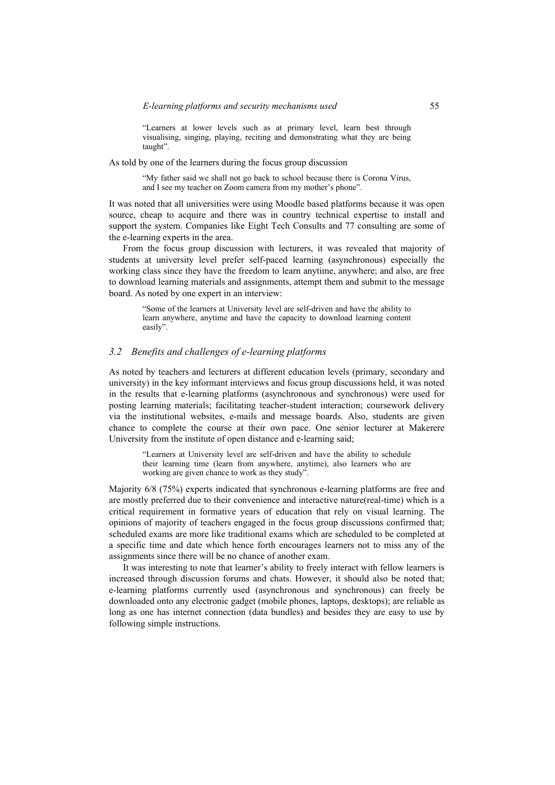"Learners at lower levels such as at primary level, learn best through visualising, singing, playing, reciting and demonstrating what they are being taught".

As told by one of the learners during the focus group discussion

"My father said we shall not go back to school because there is Corona Virus, and I see my teacher on Zoom camera from my mother's phone".

It was noted that all universities were using Moodle based platforms because it was open source, cheap to acquire and there was in country technical expertise to install and support the system. Companies like Eight Tech Consults and 77 consulting are some of the e-learning experts in the area.

From the focus group discussion with lecturers, it was revealed that majority of students at university level prefer self-paced learning (asynchronous) especially the working class since they have the freedom to learn anytime, anywhere; and also, are free to download learning materials and assignments, attempt them and submit to the message board. As noted by one expert in an interview:

"Some of the learners at University level are self-driven and have the ability to learn anywhere, anytime and have the capacity to download learning content easily".

### *3.2 Benefits and challenges of e-learning platforms*

As noted by teachers and lecturers at different education levels (primary, secondary and university) in the key informant interviews and focus group discussions held, it was noted in the results that e-learning platforms (asynchronous and synchronous) were used for posting learning materials; facilitating teacher-student interaction; coursework delivery via the institutional websites, e-mails and message boards. Also, students are given chance to complete the course at their own pace. One senior lecturer at Makerere University from the institute of open distance and e-learning said;

"Learners at University level are self-driven and have the ability to schedule their learning time (learn from anywhere, anytime), also learners who are working are given chance to work as they study".

Majority 6/8 (75%) experts indicated that synchronous e-learning platforms are free and are mostly preferred due to their convenience and interactive nature(real-time) which is a critical requirement in formative years of education that rely on visual learning. The opinions of majority of teachers engaged in the focus group discussions confirmed that; scheduled exams are more like traditional exams which are scheduled to be completed at a specific time and date which hence forth encourages learners not to miss any of the assignments since there will be no chance of another exam.

It was interesting to note that learner's ability to freely interact with fellow learners is increased through discussion forums and chats. However, it should also be noted that; e-learning platforms currently used (asynchronous and synchronous) can freely be downloaded onto any electronic gadget (mobile phones, laptops, desktops); are reliable as long as one has internet connection (data bundles) and besides they are easy to use by following simple instructions.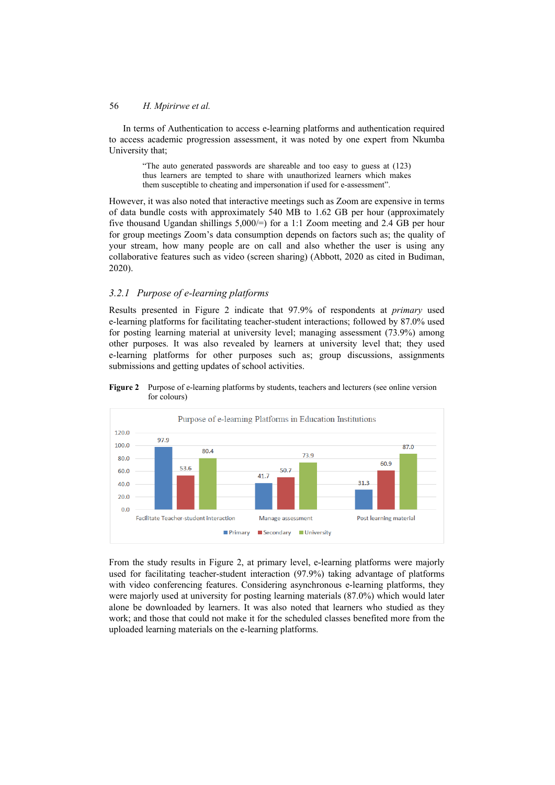In terms of Authentication to access e-learning platforms and authentication required to access academic progression assessment, it was noted by one expert from Nkumba University that;

"The auto generated passwords are shareable and too easy to guess at (123) thus learners are tempted to share with unauthorized learners which makes them susceptible to cheating and impersonation if used for e-assessment".

However, it was also noted that interactive meetings such as Zoom are expensive in terms of data bundle costs with approximately 540 MB to 1.62 GB per hour (approximately five thousand Ugandan shillings 5,000/=) for a 1:1 Zoom meeting and 2.4 GB per hour for group meetings Zoom's data consumption depends on factors such as; the quality of your stream, how many people are on call and also whether the user is using any collaborative features such as video (screen sharing) (Abbott, 2020 as cited in Budiman, 2020).

## *3.2.1 Purpose of e-learning platforms*

Results presented in Figure 2 indicate that 97.9% of respondents at *primary* used e-learning platforms for facilitating teacher-student interactions; followed by 87.0% used for posting learning material at university level; managing assessment (73.9%) among other purposes. It was also revealed by learners at university level that; they used e-learning platforms for other purposes such as; group discussions, assignments submissions and getting updates of school activities.





From the study results in Figure 2, at primary level, e-learning platforms were majorly used for facilitating teacher-student interaction (97.9%) taking advantage of platforms with video conferencing features. Considering asynchronous e-learning platforms, they were majorly used at university for posting learning materials (87.0%) which would later alone be downloaded by learners. It was also noted that learners who studied as they work; and those that could not make it for the scheduled classes benefited more from the uploaded learning materials on the e-learning platforms.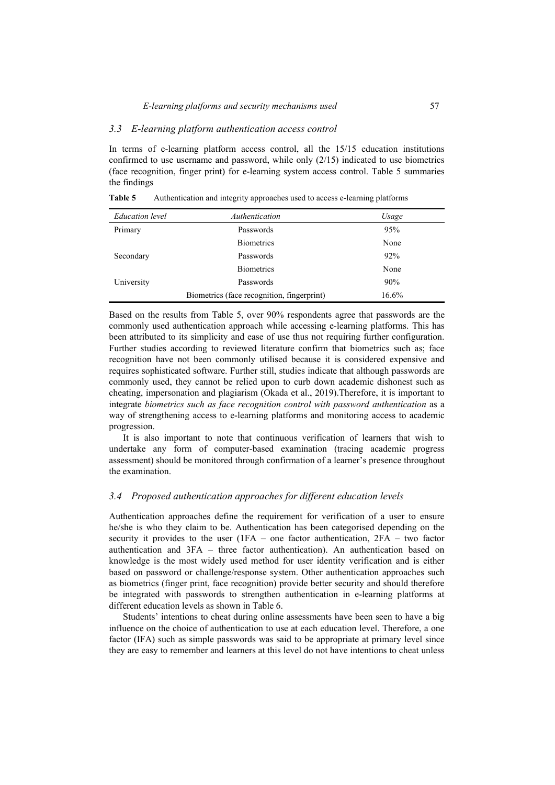#### *3.3 E-learning platform authentication access control*

In terms of e-learning platform access control, all the 15/15 education institutions confirmed to use username and password, while only (2/15) indicated to use biometrics (face recognition, finger print) for e-learning system access control. Table 5 summaries the findings

| <b>Education</b> level | Authentication                             | Usage    |
|------------------------|--------------------------------------------|----------|
| Primary                | Passwords                                  | 95%      |
|                        | <b>Biometrics</b>                          | None     |
| Secondary              | Passwords                                  | 92%      |
|                        | <b>Biometrics</b>                          | None     |
| University             | Passwords                                  | 90%      |
|                        | Biometrics (face recognition, fingerprint) | $16.6\%$ |

**Table 5** Authentication and integrity approaches used to access e-learning platforms

Based on the results from Table 5, over 90% respondents agree that passwords are the commonly used authentication approach while accessing e-learning platforms. This has been attributed to its simplicity and ease of use thus not requiring further configuration. Further studies according to reviewed literature confirm that biometrics such as; face recognition have not been commonly utilised because it is considered expensive and requires sophisticated software. Further still, studies indicate that although passwords are commonly used, they cannot be relied upon to curb down academic dishonest such as cheating, impersonation and plagiarism (Okada et al., 2019).Therefore, it is important to integrate *biometrics such as face recognition control with password authentication* as a way of strengthening access to e-learning platforms and monitoring access to academic progression.

It is also important to note that continuous verification of learners that wish to undertake any form of computer-based examination (tracing academic progress assessment) should be monitored through confirmation of a learner's presence throughout the examination.

### *3.4 Proposed authentication approaches for different education levels*

Authentication approaches define the requirement for verification of a user to ensure he/she is who they claim to be. Authentication has been categorised depending on the security it provides to the user (1FA – one factor authentication, 2FA – two factor authentication and 3FA – three factor authentication). An authentication based on knowledge is the most widely used method for user identity verification and is either based on password or challenge/response system. Other authentication approaches such as biometrics (finger print, face recognition) provide better security and should therefore be integrated with passwords to strengthen authentication in e-learning platforms at different education levels as shown in Table 6.

Students' intentions to cheat during online assessments have been seen to have a big influence on the choice of authentication to use at each education level. Therefore, a one factor (IFA) such as simple passwords was said to be appropriate at primary level since they are easy to remember and learners at this level do not have intentions to cheat unless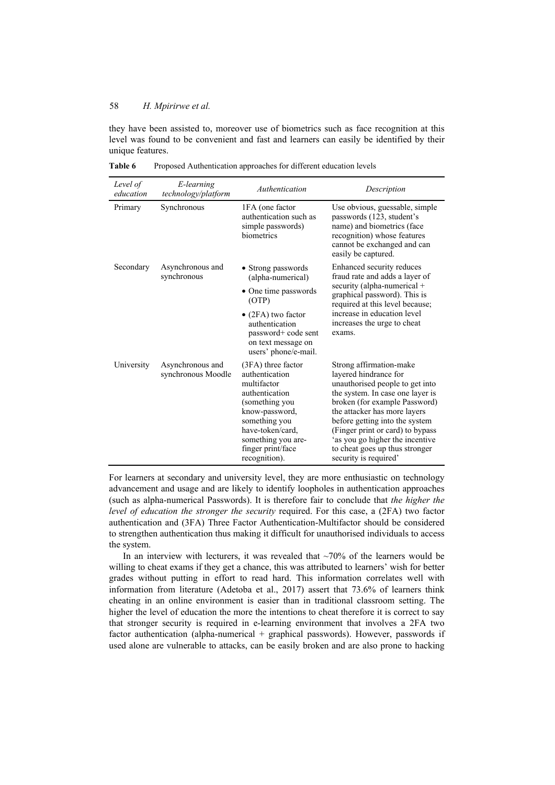they have been assisted to, moreover use of biometrics such as face recognition at this level was found to be convenient and fast and learners can easily be identified by their unique features.

| Level of<br>education | E-learning<br>technology/platform      | Authentication                                                                                                                                                                                               | Description                                                                                                                                                                                                                                                                                                                                                  |
|-----------------------|----------------------------------------|--------------------------------------------------------------------------------------------------------------------------------------------------------------------------------------------------------------|--------------------------------------------------------------------------------------------------------------------------------------------------------------------------------------------------------------------------------------------------------------------------------------------------------------------------------------------------------------|
| Primary               | Synchronous                            | 1FA (one factor<br>authentication such as<br>simple passwords)<br>biometrics                                                                                                                                 | Use obvious, guessable, simple<br>passwords (123, student's<br>name) and biometrics (face<br>recognition) whose features<br>cannot be exchanged and can<br>easily be captured.                                                                                                                                                                               |
| Secondary             | Asynchronous and<br>synchronous        | • Strong passwords<br>(alpha-numerical)                                                                                                                                                                      | Enhanced security reduces<br>fraud rate and adds a layer of                                                                                                                                                                                                                                                                                                  |
|                       |                                        | • One time passwords<br>(OTP)                                                                                                                                                                                | security (alpha-numerical $+$<br>graphical password). This is<br>required at this level because;                                                                                                                                                                                                                                                             |
|                       |                                        | $\bullet$ (2FA) two factor<br>authentication<br>password+ code sent<br>on text message on<br>users' phone/e-mail.                                                                                            | increase in education level<br>increases the urge to cheat<br>exams.                                                                                                                                                                                                                                                                                         |
| University            | Asynchronous and<br>synchronous Moodle | $(3FA)$ three factor<br>authentication<br>multifactor<br>authentication<br>(something you<br>know-password,<br>something you<br>have-token/card,<br>something you are-<br>finger print/face<br>recognition). | Strong affirmation-make<br>layered hindrance for<br>unauthorised people to get into<br>the system. In case one layer is<br>broken (for example Password)<br>the attacker has more layers<br>before getting into the system<br>(Finger print or card) to bypass<br>'as you go higher the incentive<br>to cheat goes up thus stronger<br>security is required' |

**Table 6** Proposed Authentication approaches for different education levels

For learners at secondary and university level, they are more enthusiastic on technology advancement and usage and are likely to identify loopholes in authentication approaches (such as alpha-numerical Passwords). It is therefore fair to conclude that *the higher the level of education the stronger the security* required. For this case, a (2FA) two factor authentication and (3FA) Three Factor Authentication-Multifactor should be considered to strengthen authentication thus making it difficult for unauthorised individuals to access the system.

In an interview with lecturers, it was revealed that  $\sim$ 70% of the learners would be willing to cheat exams if they get a chance, this was attributed to learners' wish for better grades without putting in effort to read hard. This information correlates well with information from literature (Adetoba et al., 2017) assert that 73.6% of learners think cheating in an online environment is easier than in traditional classroom setting. The higher the level of education the more the intentions to cheat therefore it is correct to say that stronger security is required in e-learning environment that involves a 2FA two factor authentication (alpha-numerical + graphical passwords). However, passwords if used alone are vulnerable to attacks, can be easily broken and are also prone to hacking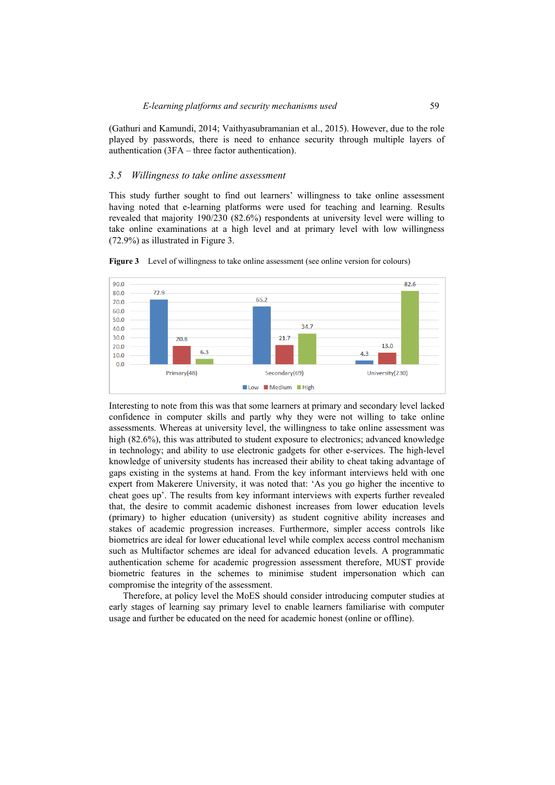(Gathuri and Kamundi, 2014; Vaithyasubramanian et al., 2015). However, due to the role played by passwords, there is need to enhance security through multiple layers of authentication (3FA – three factor authentication).

#### *3.5 Willingness to take online assessment*

This study further sought to find out learners' willingness to take online assessment having noted that e-learning platforms were used for teaching and learning. Results revealed that majority 190/230 (82.6%) respondents at university level were willing to take online examinations at a high level and at primary level with low willingness (72.9%) as illustrated in Figure 3.



**Figure 3** Level of willingness to take online assessment (see online version for colours)

Interesting to note from this was that some learners at primary and secondary level lacked confidence in computer skills and partly why they were not willing to take online assessments. Whereas at university level, the willingness to take online assessment was high (82.6%), this was attributed to student exposure to electronics; advanced knowledge in technology; and ability to use electronic gadgets for other e-services. The high-level knowledge of university students has increased their ability to cheat taking advantage of gaps existing in the systems at hand. From the key informant interviews held with one expert from Makerere University, it was noted that: 'As you go higher the incentive to cheat goes up'. The results from key informant interviews with experts further revealed that, the desire to commit academic dishonest increases from lower education levels (primary) to higher education (university) as student cognitive ability increases and stakes of academic progression increases. Furthermore, simpler access controls like biometrics are ideal for lower educational level while complex access control mechanism such as Multifactor schemes are ideal for advanced education levels. A programmatic authentication scheme for academic progression assessment therefore, MUST provide biometric features in the schemes to minimise student impersonation which can compromise the integrity of the assessment.

Therefore, at policy level the MoES should consider introducing computer studies at early stages of learning say primary level to enable learners familiarise with computer usage and further be educated on the need for academic honest (online or offline).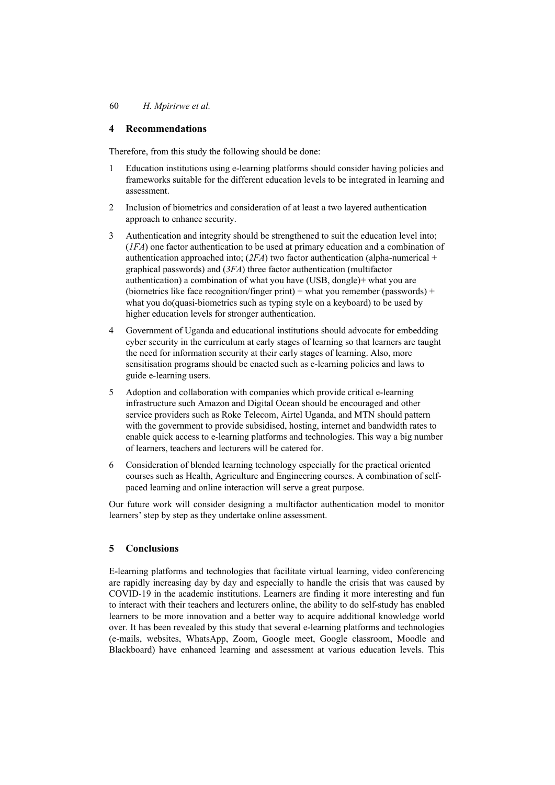## **4 Recommendations**

Therefore, from this study the following should be done:

- 1 Education institutions using e-learning platforms should consider having policies and frameworks suitable for the different education levels to be integrated in learning and assessment.
- 2 Inclusion of biometrics and consideration of at least a two layered authentication approach to enhance security.
- 3 Authentication and integrity should be strengthened to suit the education level into; (*1FA*) one factor authentication to be used at primary education and a combination of authentication approached into; (*2FA*) two factor authentication (alpha-numerical + graphical passwords) and (*3FA*) three factor authentication (multifactor authentication) a combination of what you have (USB, dongle)+ what you are (biometrics like face recognition/finger print) + what you remember (passwords) + what you do(quasi-biometrics such as typing style on a keyboard) to be used by higher education levels for stronger authentication.
- 4 Government of Uganda and educational institutions should advocate for embedding cyber security in the curriculum at early stages of learning so that learners are taught the need for information security at their early stages of learning. Also, more sensitisation programs should be enacted such as e-learning policies and laws to guide e-learning users.
- 5 Adoption and collaboration with companies which provide critical e-learning infrastructure such Amazon and Digital Ocean should be encouraged and other service providers such as Roke Telecom, Airtel Uganda, and MTN should pattern with the government to provide subsidised, hosting, internet and bandwidth rates to enable quick access to e-learning platforms and technologies. This way a big number of learners, teachers and lecturers will be catered for.
- 6 Consideration of blended learning technology especially for the practical oriented courses such as Health, Agriculture and Engineering courses. A combination of selfpaced learning and online interaction will serve a great purpose.

Our future work will consider designing a multifactor authentication model to monitor learners' step by step as they undertake online assessment.

## **5 Conclusions**

E-learning platforms and technologies that facilitate virtual learning, video conferencing are rapidly increasing day by day and especially to handle the crisis that was caused by COVID-19 in the academic institutions. Learners are finding it more interesting and fun to interact with their teachers and lecturers online, the ability to do self-study has enabled learners to be more innovation and a better way to acquire additional knowledge world over. It has been revealed by this study that several e-learning platforms and technologies (e-mails, websites, WhatsApp, Zoom, Google meet, Google classroom, Moodle and Blackboard) have enhanced learning and assessment at various education levels. This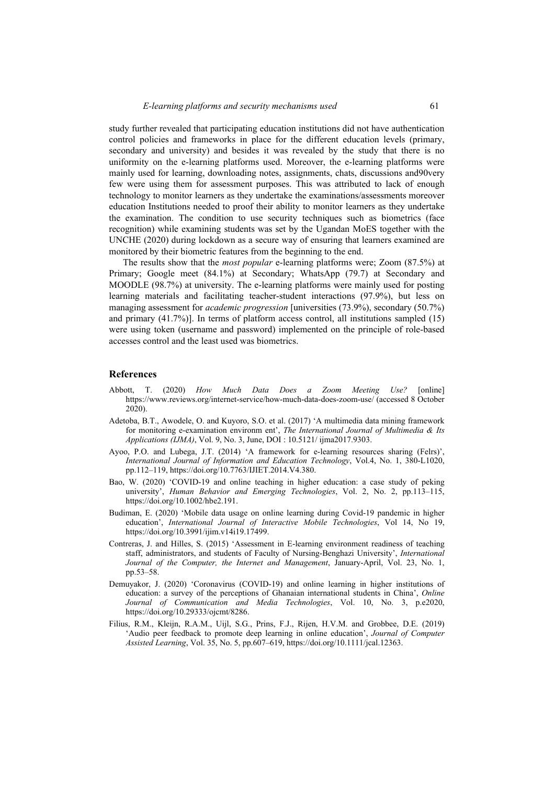study further revealed that participating education institutions did not have authentication control policies and frameworks in place for the different education levels (primary, secondary and university) and besides it was revealed by the study that there is no uniformity on the e-learning platforms used. Moreover, the e-learning platforms were mainly used for learning, downloading notes, assignments, chats, discussions and90very few were using them for assessment purposes. This was attributed to lack of enough technology to monitor learners as they undertake the examinations/assessments moreover education Institutions needed to proof their ability to monitor learners as they undertake the examination. The condition to use security techniques such as biometrics (face recognition) while examining students was set by the Ugandan MoES together with the UNCHE (2020) during lockdown as a secure way of ensuring that learners examined are monitored by their biometric features from the beginning to the end.

The results show that the *most popular* e-learning platforms were; Zoom (87.5%) at Primary; Google meet (84.1%) at Secondary; WhatsApp (79.7) at Secondary and MOODLE (98.7%) at university. The e-learning platforms were mainly used for posting learning materials and facilitating teacher-student interactions (97.9%), but less on managing assessment for *academic progression* [universities (73.9%), secondary (50.7%) and primary (41.7%)]. In terms of platform access control, all institutions sampled (15) were using token (username and password) implemented on the principle of role-based accesses control and the least used was biometrics.

#### **References**

- Abbott, T. (2020) *How Much Data Does a Zoom Meeting Use?* [online] https://www.reviews.org/internet-service/how-much-data-does-zoom-use/ (accessed 8 October 2020).
- Adetoba, B.T., Awodele, O. and Kuyoro, S.O. et al. (2017) 'A multimedia data mining framework for monitoring e-examination environm ent', *The International Journal of Multimedia & Its Applications (IJMA)*, Vol. 9, No. 3, June, DOI : 10.5121/ ijma2017.9303.
- Ayoo, P.O. and Lubega, J.T. (2014) 'A framework for e-learning resources sharing (Felrs)', *International Journal of Information and Education Technology*, Vol.4, No. 1, 380-L1020, pp.112–119, https://doi.org/10.7763/IJIET.2014.V4.380.
- Bao, W. (2020) 'COVID‐19 and online teaching in higher education: a case study of peking university', *Human Behavior and Emerging Technologies*, Vol. 2, No. 2, pp.113–115, https://doi.org/10.1002/hbe2.191.
- Budiman, E. (2020) 'Mobile data usage on online learning during Covid-19 pandemic in higher education', *International Journal of Interactive Mobile Technologies*, Vol 14, No 19, https://doi.org/10.3991/ijim.v14i19.17499.
- Contreras, J. and Hilles, S. (2015) 'Assessment in E-learning environment readiness of teaching staff, administrators, and students of Faculty of Nursing-Benghazi University', *International Journal of the Computer, the Internet and Management*, January-April, Vol. 23, No. 1, pp.53–58.
- Demuyakor, J. (2020) 'Coronavirus (COVID-19) and online learning in higher institutions of education: a survey of the perceptions of Ghanaian international students in China', *Online Journal of Communication and Media Technologies*, Vol. 10, No. 3, p.e2020, https://doi.org/10.29333/ojcmt/8286.
- Filius, R.M., Kleijn, R.A.M., Uijl, S.G., Prins, F.J., Rijen, H.V.M. and Grobbee, D.E. (2019) 'Audio peer feedback to promote deep learning in online education', *Journal of Computer Assisted Learning*, Vol. 35, No. 5, pp.607–619, https://doi.org/10.1111/jcal.12363.